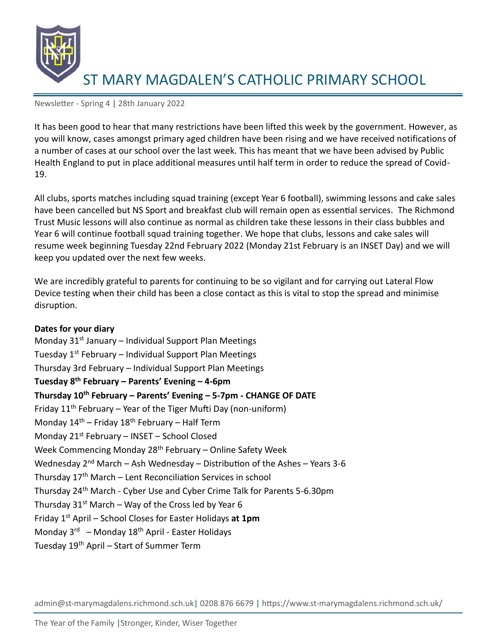

Newsletter - Spring 4 | 28th January 2022

It has been good to hear that many restrictions have been lifted this week by the government. However, as you will know, cases amongst primary aged children have been rising and we have received notifications of a number of cases at our school over the last week. This has meant that we have been advised by Public Health England to put in place additional measures until half term in order to reduce the spread of Covid-19.

All clubs, sports matches including squad training (except Year 6 football), swimming lessons and cake sales have been cancelled but NS Sport and breakfast club will remain open as essential services. The Richmond Trust Music lessons will also continue as normal as children take these lessons in their class bubbles and Year 6 will continue football squad training together. We hope that clubs, lessons and cake sales will resume week beginning Tuesday 22nd February 2022 (Monday 21st February is an INSET Day) and we will keep you updated over the next few weeks.

We are incredibly grateful to parents for continuing to be so vigilant and for carrying out Lateral Flow Device testing when their child has been a close contact as this is vital to stop the spread and minimise disruption.

#### **Dates for your diary**

Monday  $31<sup>st</sup>$  January – Individual Support Plan Meetings Tuesday  $1^{st}$  February – Individual Support Plan Meetings Thursday 3rd February – Individual Support Plan Meetings **Tuesday 8th February – Parents' Evening – 4-6pm Thursday 10th February – Parents' Evening – 5-7pm - CHANGE OF DATE** Friday  $11<sup>th</sup>$  February – Year of the Tiger Mufti Day (non-uniform) Monday  $14^{th}$  – Friday  $18^{th}$  February – Half Term Monday  $21^{st}$  February – INSET – School Closed Week Commencing Monday 28<sup>th</sup> February - Online Safety Week Wednesday  $2^{nd}$  March – Ash Wednesday – Distribution of the Ashes – Years 3-6 Thursday  $17<sup>th</sup>$  March – Lent Reconciliation Services in school Thursday 24th March - Cyber Use and Cyber Crime Talk for Parents 5-6.30pm Thursday  $31<sup>st</sup>$  March – Way of the Cross led by Year 6 Friday 1st April – School Closes for Easter Holidays **at 1pm** Monday 3<sup>rd</sup> – Monday 18<sup>th</sup> April - Easter Holidays Tuesday 19th April – Start of Summer Term

admin@st-marymagdalens.richmond.sch.uk| 0208 876 6679 | https://www.st-marymagdalens.richmond.sch.uk/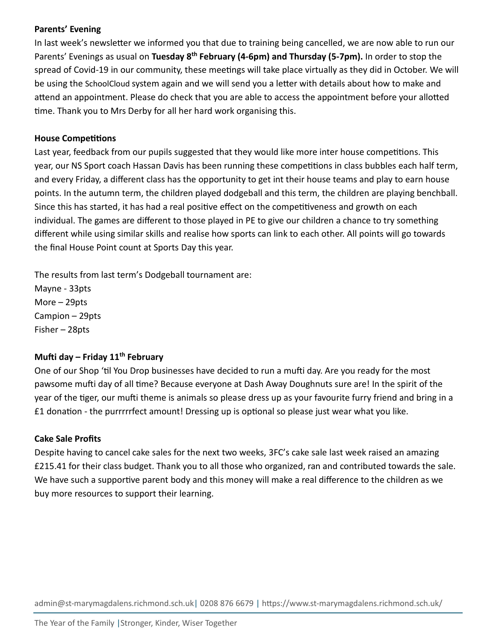## **Parents' Evening**

In last week's newsletter we informed you that due to training being cancelled, we are now able to run our Parents' Evenings as usual on **Tuesday 8th February (4-6pm) and Thursday (5-7pm).** In order to stop the spread of Covid-19 in our community, these meetings will take place virtually as they did in October. We will be using the SchoolCloud system again and we will send you a letter with details about how to make and attend an appointment. Please do check that you are able to access the appointment before your allotted time. Thank you to Mrs Derby for all her hard work organising this.

# **House Competitions**

Last year, feedback from our pupils suggested that they would like more inter house competitions. This year, our NS Sport coach Hassan Davis has been running these competitions in class bubbles each half term, and every Friday, a different class has the opportunity to get int their house teams and play to earn house points. In the autumn term, the children played dodgeball and this term, the children are playing benchball. Since this has started, it has had a real positive effect on the competitiveness and growth on each individual. The games are different to those played in PE to give our children a chance to try something different while using similar skills and realise how sports can link to each other. All points will go towards the final House Point count at Sports Day this year.

The results from last term's Dodgeball tournament are:

Mayne - 33pts More – 29pts Campion – 29pts Fisher – 28pts

## **Mufti day – Friday 11 th February**

One of our Shop 'til You Drop businesses have decided to run a mufti day. Are you ready for the most pawsome mufti day of all time? Because everyone at Dash Away Doughnuts sure are! In the spirit of the year of the tiger, our mufti theme is animals so please dress up as your favourite furry friend and bring in a £1 donation - the purrrrrfect amount! Dressing up is optional so please just wear what you like.

## **Cake Sale Profits**

Despite having to cancel cake sales for the next two weeks, 3FC's cake sale last week raised an amazing £215.41 for their class budget. Thank you to all those who organized, ran and contributed towards the sale. We have such a supportive parent body and this money will make a real difference to the children as we buy more resources to support their learning.

admin@st-marymagdalens.richmond.sch.uk| 0208 876 6679 | https://www.st-marymagdalens.richmond.sch.uk/